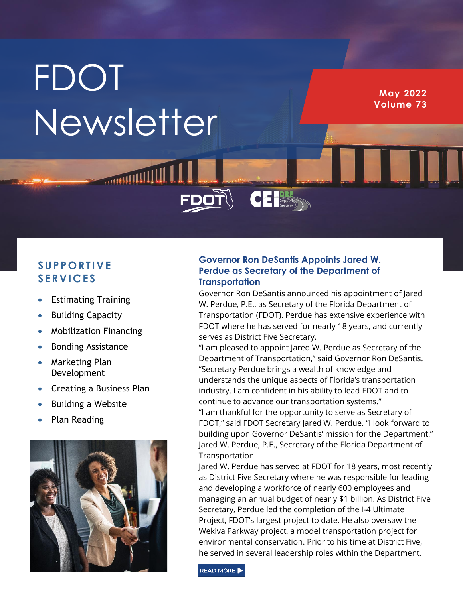# **FDOT** Newsletter

**May 2022 Volume 73**

## **S UP P O RT IVE S ERV IC ES**

- Estimating Training
- Building Capacity
- Mobilization Financing
- Bonding Assistance
- Marketing Plan Development
- Creating a Business Plan
- Building a Website
- Plan Reading



## **Governor Ron DeSantis Appoints Jared W. Perdue as Secretary of the Department of Transportation**

 $\overline{\textbf{C}}$   $\textbf{E}$   $\textbf{B}$   $\textbf{B}$   $\textbf{B}$   $\textbf{B}$   $\textbf{B}$   $\textbf{B}$   $\textbf{B}$   $\textbf{B}$   $\textbf{B}$   $\textbf{B}$   $\textbf{B}$   $\textbf{B}$   $\textbf{B}$   $\textbf{B}$   $\textbf{B}$   $\textbf{B}$   $\textbf{B}$   $\textbf{B}$   $\textbf{B}$   $\textbf{B}$   $\textbf{B}$   $\textbf{B}$   $\$ 

Governor Ron DeSantis announced his appointment of Jared W. Perdue, P.E., as Secretary of the Florida Department of Transportation (FDOT). Perdue has extensive experience with FDOT where he has served for nearly 18 years, and currently serves as District Five Secretary.

"I am pleased to appoint Jared W. Perdue as Secretary of the Department of Transportation," said Governor Ron DeSantis. "Secretary Perdue brings a wealth of knowledge and understands the unique aspects of Florida's transportation industry. I am confident in his ability to lead FDOT and to continue to advance our transportation systems." "I am thankful for the opportunity to serve as Secretary of FDOT," said FDOT Secretary Jared W. Perdue. "I look forward to building upon Governor DeSantis' mission for the Department." Jared W. Perdue, P.E., Secretary of the Florida Department of Transportation

Jared W. Perdue has served at FDOT for 18 years, most recently as District Five Secretary where he was responsible for leading and developing a workforce of nearly 600 employees and managing an annual budget of nearly \$1 billion. As District Five Secretary, Perdue led the completion of the I-4 Ultimate Project, FDOT's largest project to date. He also oversaw the Wekiva Parkway project, a model transportation project for environmental conservation. Prior to his time at District Five, he served in several leadership roles within the Department.

READ MORE